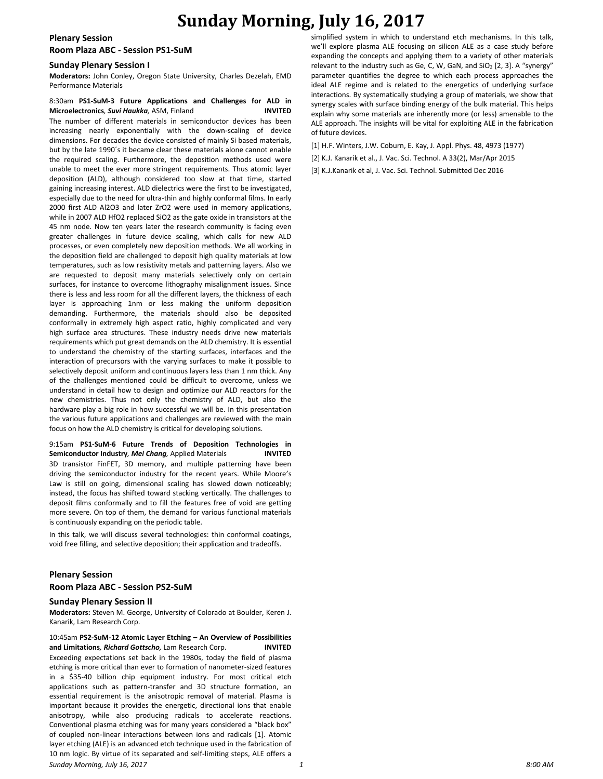# **Sunday Morning, July 16, 2017**

**Plenary Session Room Plaza ABC - Session PS1-SuM**

#### **Sunday Plenary Session I**

**Moderators:** John Conley, Oregon State University, Charles Dezelah, EMD Performance Materials

## 8:30am **PS1-SuM-3 Future Applications and Challenges for ALD in Microelectronics***, Suvi Haukka,* ASM, Finland **INVITED**

The number of different materials in semiconductor devices has been increasing nearly exponentially with the down-scaling of device dimensions. For decades the device consisted of mainly Si based materials, but by the late 1990´s it became clear these materials alone cannot enable the required scaling. Furthermore, the deposition methods used were unable to meet the ever more stringent requirements. Thus atomic layer deposition (ALD), although considered too slow at that time, started gaining increasing interest. ALD dielectrics were the first to be investigated, especially due to the need for ultra-thin and highly conformal films. In early 2000 first ALD Al2O3 and later ZrO2 were used in memory applications, while in 2007 ALD HfO2 replaced SiO2 as the gate oxide in transistors at the 45 nm node. Now ten years later the research community is facing even greater challenges in future device scaling, which calls for new ALD processes, or even completely new deposition methods. We all working in the deposition field are challenged to deposit high quality materials at low temperatures, such as low resistivity metals and patterning layers. Also we are requested to deposit many materials selectively only on certain surfaces, for instance to overcome lithography misalignment issues. Since there is less and less room for all the different layers, the thickness of each layer is approaching 1nm or less making the uniform deposition demanding. Furthermore, the materials should also be deposited conformally in extremely high aspect ratio, highly complicated and very high surface area structures. These industry needs drive new materials requirements which put great demands on the ALD chemistry. It is essential to understand the chemistry of the starting surfaces, interfaces and the interaction of precursors with the varying surfaces to make it possible to selectively deposit uniform and continuous layers less than 1 nm thick. Any of the challenges mentioned could be difficult to overcome, unless we understand in detail how to design and optimize our ALD reactors for the new chemistries. Thus not only the chemistry of ALD, but also the hardware play a big role in how successful we will be. In this presentation the various future applications and challenges are reviewed with the main focus on how the ALD chemistry is critical for developing solutions.

9:15am **PS1-SuM-6 Future Trends of Deposition Technologies in Semiconductor Industry***, Mei Chang,* Applied Materials **INVITED** 3D transistor FinFET, 3D memory, and multiple patterning have been driving the semiconductor industry for the recent years. While Moore's Law is still on going, dimensional scaling has slowed down noticeably; instead, the focus has shifted toward stacking vertically. The challenges to deposit films conformally and to fill the features free of void are getting more severe. On top of them, the demand for various functional materials is continuously expanding on the periodic table.

In this talk, we will discuss several technologies: thin conformal coatings, void free filling, and selective deposition; their application and tradeoffs.

#### **Plenary Session**

**Room Plaza ABC - Session PS2-SuM**

#### **Sunday Plenary Session II**

**Moderators:** Steven M. George, University of Colorado at Boulder, Keren J. Kanarik, Lam Research Corp.

*Sunday Morning, July 16, 2017 1 8:00 AM* 10:45am **PS2-SuM-12 Atomic Layer Etching – An Overview of Possibilities and Limitations***, Richard Gottscho,* Lam Research Corp. **INVITED** Exceeding expectations set back in the 1980s, today the field of plasma etching is more critical than ever to formation of nanometer-sized features in a \$35-40 billion chip equipment industry. For most critical etch applications such as pattern-transfer and 3D structure formation, an essential requirement is the anisotropic removal of material. Plasma is important because it provides the energetic, directional ions that enable anisotropy, while also producing radicals to accelerate reactions. Conventional plasma etching was for many years considered a "black box" of coupled non-linear interactions between ions and radicals [1]. Atomic layer etching (ALE) is an advanced etch technique used in the fabrication of 10 nm logic. By virtue of its separated and self-limiting steps, ALE offers a

simplified system in which to understand etch mechanisms. In this talk, we'll explore plasma ALE focusing on silicon ALE as a case study before expanding the concepts and applying them to a variety of other materials relevant to the industry such as Ge, C, W, GaN, and  $SiO<sub>2</sub>$  [2, 3]. A "synergy" parameter quantifies the degree to which each process approaches the ideal ALE regime and is related to the energetics of underlying surface interactions. By systematically studying a group of materials, we show that synergy scales with surface binding energy of the bulk material. This helps explain why some materials are inherently more (or less) amenable to the ALE approach. The insights will be vital for exploiting ALE in the fabrication of future devices.

[1] H.F. Winters, J.W. Coburn, E. Kay, J. Appl. Phys. 48, 4973 (1977)

[2] K.J. Kanarik et al., J. Vac. Sci. Technol. A 33(2), Mar/Apr 2015

[3] K.J.Kanarik et al, J. Vac. Sci. Technol. Submitted Dec 2016